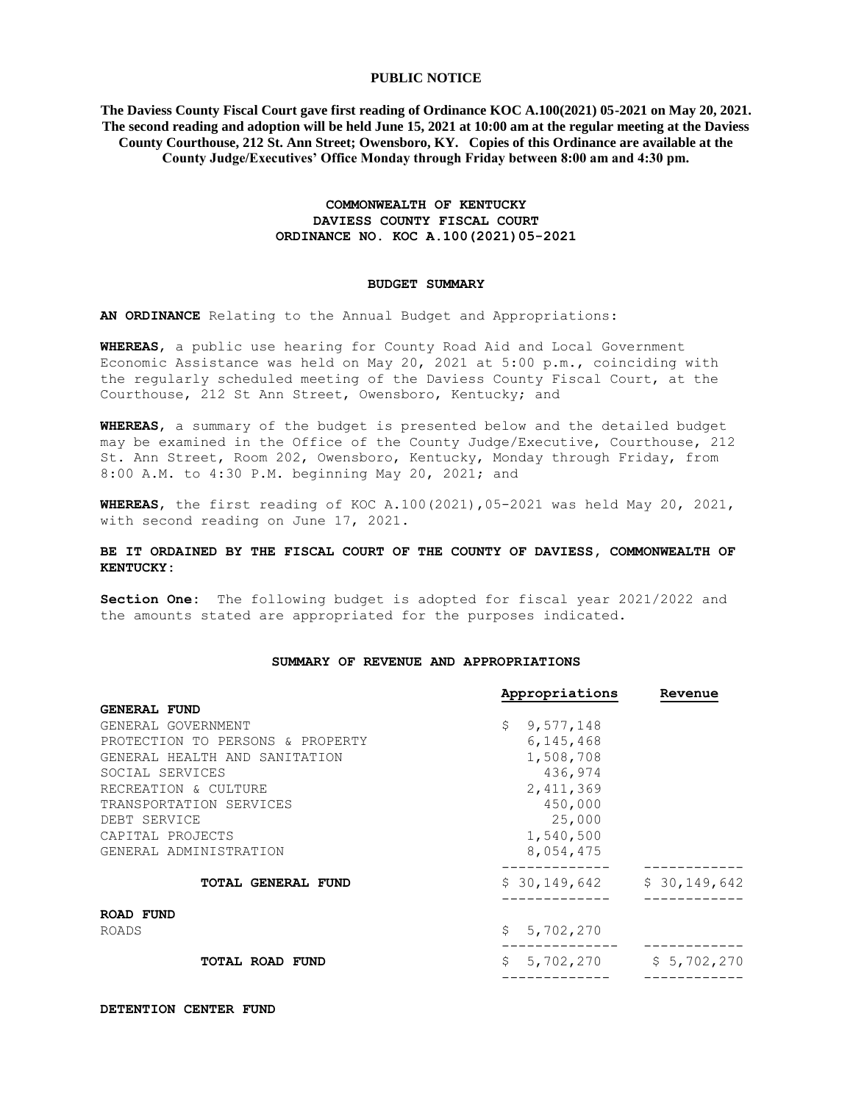# **PUBLIC NOTICE**

**The Daviess County Fiscal Court gave first reading of Ordinance KOC A.100(2021) 05-2021 on May 20, 2021. The second reading and adoption will be held June 15, 2021 at 10:00 am at the regular meeting at the Daviess County Courthouse, 212 St. Ann Street; Owensboro, KY. Copies of this Ordinance are available at the County Judge/Executives' Office Monday through Friday between 8:00 am and 4:30 pm.**

# **COMMONWEALTH OF KENTUCKY DAVIESS COUNTY FISCAL COURT ORDINANCE NO. KOC A.100(2021)05-2021**

### **BUDGET SUMMARY**

**AN ORDINANCE** Relating to the Annual Budget and Appropriations:

**WHEREAS**, a public use hearing for County Road Aid and Local Government Economic Assistance was held on May 20, 2021 at 5:00 p.m., coinciding with the regularly scheduled meeting of the Daviess County Fiscal Court, at the Courthouse, 212 St Ann Street, Owensboro, Kentucky; and

**WHEREAS**, a summary of the budget is presented below and the detailed budget may be examined in the Office of the County Judge/Executive, Courthouse, 212 St. Ann Street, Room 202, Owensboro, Kentucky, Monday through Friday, from 8:00 A.M. to 4:30 P.M. beginning May 20, 2021; and

**WHEREAS**, the first reading of KOC A.100(2021),05-2021 was held May 20, 2021, with second reading on June 17, 2021.

# **BE IT ORDAINED BY THE FISCAL COURT OF THE COUNTY OF DAVIESS, COMMONWEALTH OF KENTUCKY:**

**Section One:** The following budget is adopted for fiscal year 2021/2022 and the amounts stated are appropriated for the purposes indicated.

#### **SUMMARY OF REVENUE AND APPROPRIATIONS**

|                                  | Appropriations  | Revenue      |
|----------------------------------|-----------------|--------------|
| <b>GENERAL FUND</b>              |                 |              |
| GENERAL GOVERNMENT               | Ŝ.<br>9,577,148 |              |
| PROTECTION TO PERSONS & PROPERTY | 6, 145, 468     |              |
| GENERAL HEALTH AND SANITATION    | 1,508,708       |              |
| SOCIAL SERVICES                  | 436,974         |              |
| RECREATION & CULTURE             | 2,411,369       |              |
| TRANSPORTATION SERVICES          | 450,000         |              |
| DEBT SERVICE                     | 25,000          |              |
| CAPITAL PROJECTS                 | 1,540,500       |              |
| GENERAL ADMINISTRATION           | 8,054,475       |              |
| <b>TOTAL GENERAL FUND</b>        | \$30,149,642    | \$30,149,642 |
| ROAD FUND                        |                 |              |
| ROADS                            | Ŝ.<br>5,702,270 |              |
| <b>TOTAL ROAD FUND</b>           | \$<br>5,702,270 | \$5,702,270  |
|                                  |                 |              |